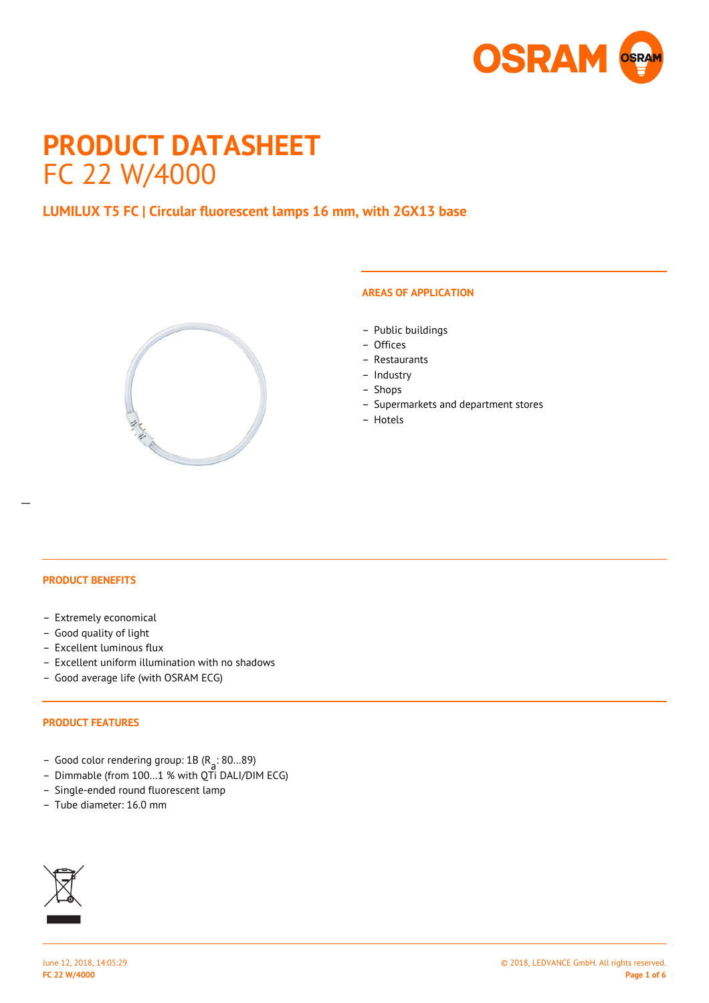

# **PRODUCT DATASHEET** FC 22 W/4000

# **LUMILUX T5 FC | Circular fluorescent lamps 16 mm, with 2GX13 base**



# **AREAS OF APPLICATION**

- Public buildings
- Offices
- Restaurants
- Industry
- Shops
- Supermarkets and department stores
- Hotels

#### **PRODUCT BENEFITS**

- Extremely economical
- Good quality of light
- Excellent luminous flux
- Excellent uniform illumination with no shadows
- Good average life (with OSRAM ECG)

#### **PRODUCT FEATURES**

- Good color rendering group: 1B (R a : 80…89)
- Dimmable (from 100…1 % with QTi DALI/DIM ECG)
- Single-ended round fluorescent lamp
- Tube diameter: 16.0 mm

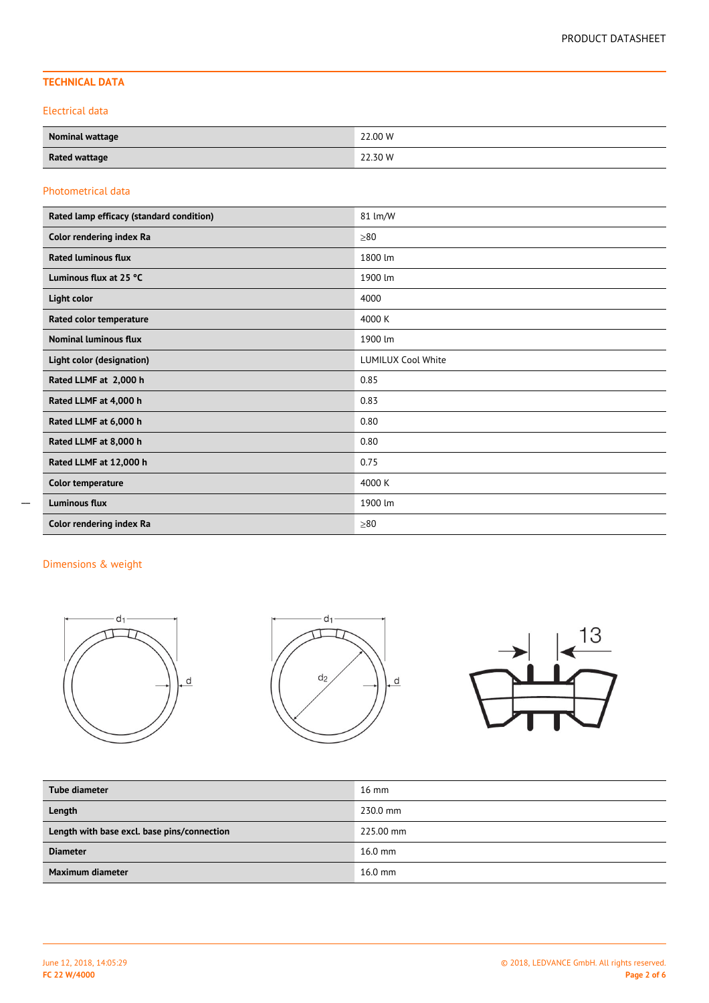# **TECHNICAL DATA**

Electrical data

| <b>Nominal wattage</b> | 22.00 W<br>. |
|------------------------|--------------|
| <b>Rated wattage</b>   | 22.30 W      |

#### Photometrical data

| Rated lamp efficacy (standard condition) | 81 lm/W                   |
|------------------------------------------|---------------------------|
| Color rendering index Ra                 | $\geq 80$                 |
| <b>Rated luminous flux</b>               | 1800 lm                   |
| Luminous flux at 25 °C                   | 1900 lm                   |
| Light color                              | 4000                      |
| Rated color temperature                  | 4000 K                    |
| <b>Nominal luminous flux</b>             | 1900 lm                   |
| Light color (designation)                | <b>LUMILUX Cool White</b> |
| Rated LLMF at 2,000 h                    | 0.85                      |
| Rated LLMF at 4,000 h                    | 0.83                      |
| Rated LLMF at 6,000 h                    | 0.80                      |
| Rated LLMF at 8,000 h                    | 0.80                      |
| Rated LLMF at 12,000 h                   | 0.75                      |
| Color temperature                        | 4000 K                    |
| <b>Luminous flux</b>                     | 1900 lm                   |
| Color rendering index Ra                 | >80                       |

 $\overline{a}$ 



| Tube diameter                               | $16 \text{ mm}$ |
|---------------------------------------------|-----------------|
| Length                                      | 230.0 mm        |
| Length with base excl. base pins/connection | 225.00 mm       |
| <b>Diameter</b>                             | $16.0$ mm       |
| Maximum diameter                            | $16.0$ mm       |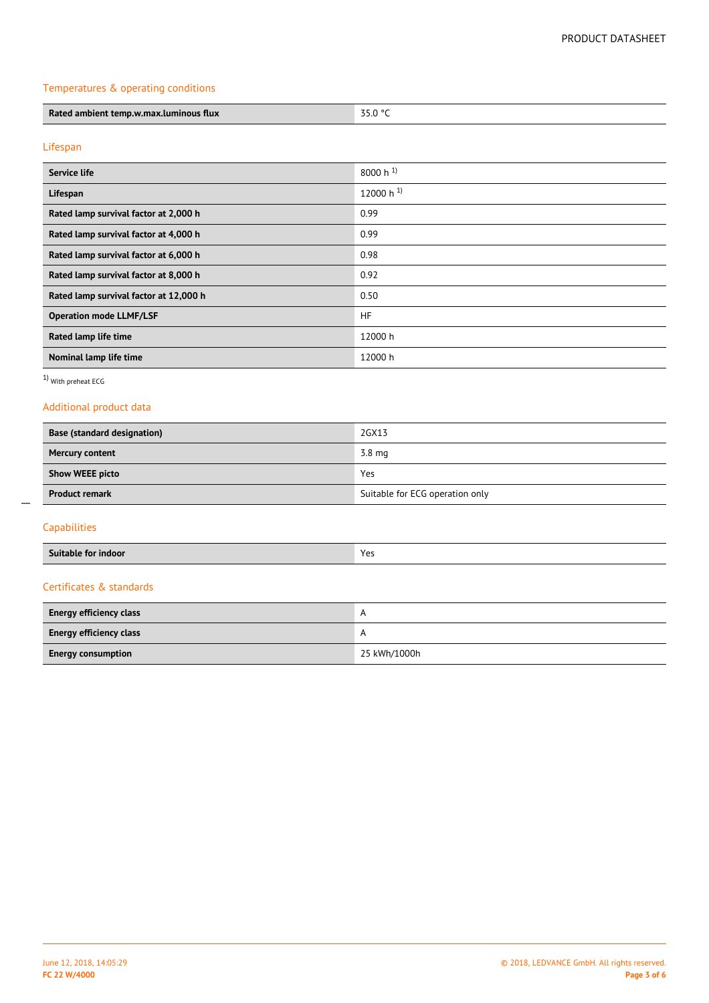# Temperatures & operating conditions

| Rated<br>d ambient temp.w.max.luminous <sup>.</sup><br>flux |  |
|-------------------------------------------------------------|--|

# Lifespan

| Service life                           | 8000 h $^{1}$  |
|----------------------------------------|----------------|
| Lifespan                               | 12000 h $^{1}$ |
| Rated lamp survival factor at 2,000 h  | 0.99           |
| Rated lamp survival factor at 4,000 h  | 0.99           |
| Rated lamp survival factor at 6,000 h  | 0.98           |
| Rated lamp survival factor at 8,000 h  | 0.92           |
| Rated lamp survival factor at 12,000 h | 0.50           |
| <b>Operation mode LLMF/LSF</b>         | <b>HF</b>      |
| Rated lamp life time                   | 12000 h        |
| Nominal lamp life time                 | 12000 h        |

1) With preheat ECG

# Additional product data

| Base (standard designation) | 2GX13                           |
|-----------------------------|---------------------------------|
| <b>Mercury content</b>      | $3.8 \text{ mg}$                |
| <b>Show WEEE picto</b>      | Yes                             |
| <b>Product remark</b>       | Suitable for ECG operation only |

# Capabilities

 $\overline{a}$ 

| - -<br>Suitable<br>ındoor<br>шог | Voc<br>د با |
|----------------------------------|-------------|
|                                  |             |

# Certificates & standards

| <b>Energy efficiency class</b> | $\overline{A}$ |
|--------------------------------|----------------|
| <b>Energy efficiency class</b> |                |
| <b>Energy consumption</b>      | 25 kWh/1000h   |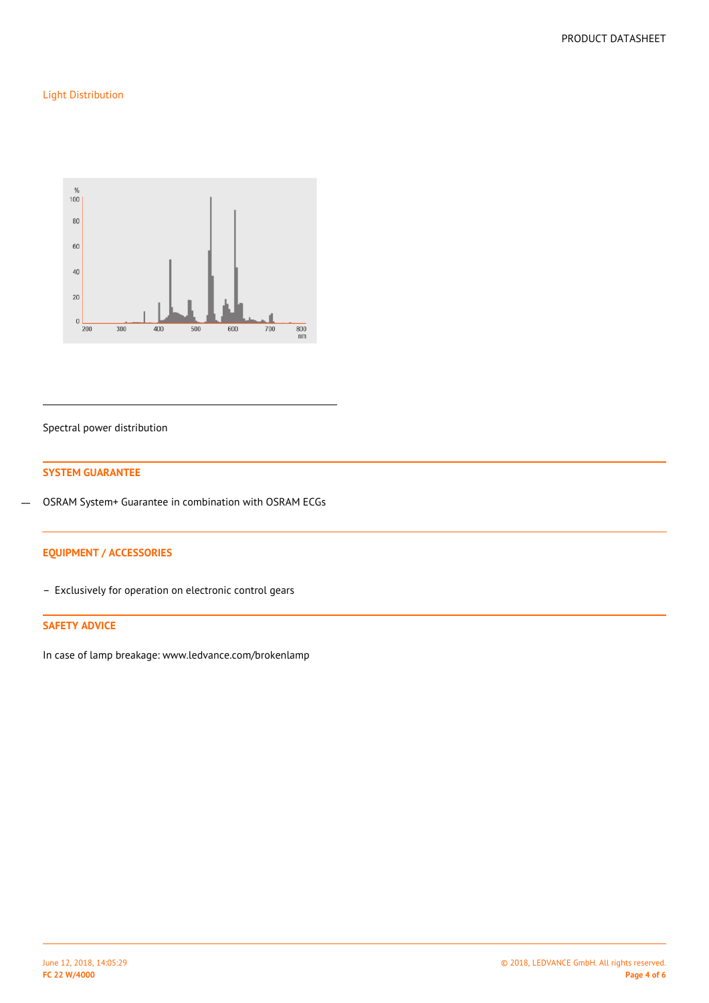# Light Distribution



#### Spectral power distribution

#### **SYSTEM GUARANTEE**

OSRAM System+ Guarantee in combination with OSRAM ECGs  $\overline{a}$ 

# **EQUIPMENT / ACCESSORIES**

– Exclusively for operation on electronic control gears

#### **SAFETY ADVICE**

In case of lamp breakage: www.ledvance.com/brokenlamp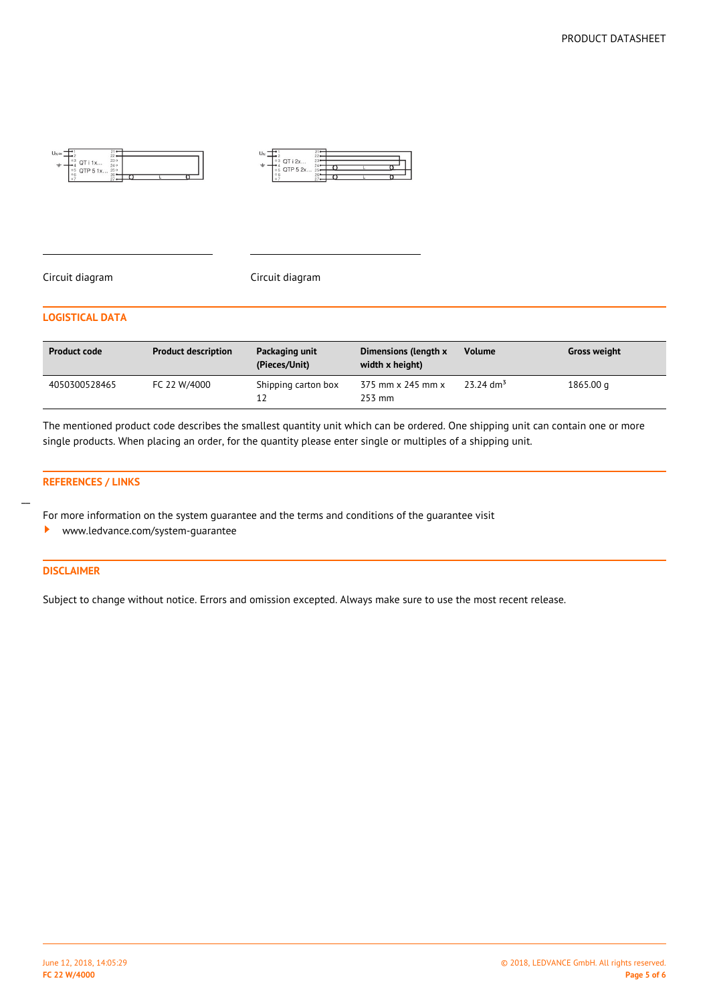



#### Circuit diagram Circuit diagram

#### **LOGISTICAL DATA**

| <b>Product code</b> | <b>Product description</b> | Packaging unit<br>(Pieces/Unit) | Dimensions (length x<br>width x height) | <b>Volume</b>           | <b>Gross weight</b> |
|---------------------|----------------------------|---------------------------------|-----------------------------------------|-------------------------|---------------------|
| 4050300528465       | FC 22 W/4000               | Shipping carton box<br>12       | 375 mm x 245 mm x<br>253 mm             | $23.24$ dm <sup>3</sup> | 1865.00 g           |

The mentioned product code describes the smallest quantity unit which can be ordered. One shipping unit can contain one or more single products. When placing an order, for the quantity please enter single or multiples of a shipping unit.

#### **REFERENCES / LINKS**

For more information on the system guarantee and the terms and conditions of the guarantee visit

<www.ledvance.com/system-guarantee>  $\ddot{\phantom{1}}$ 

#### **DISCLAIMER**

 $\overline{a}$ 

Subject to change without notice. Errors and omission excepted. Always make sure to use the most recent release.